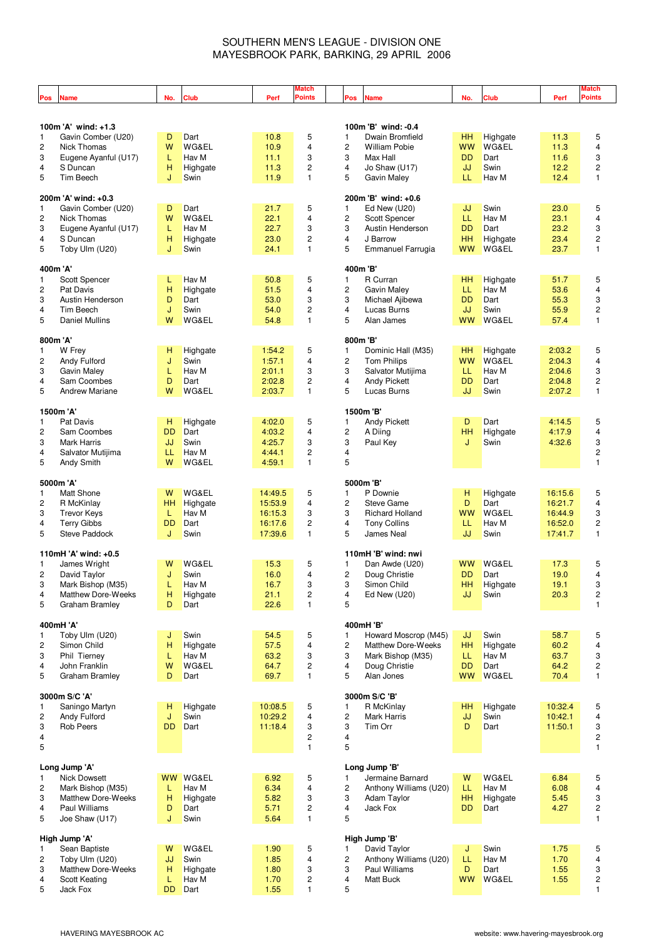## SOUTHERN MEN'S LEAGUE - DIVISION ONE MAYESBROOK PARK, BARKING, 29 APRIL 2006

| Pos                     | <b>Name</b>                                | No.       | <b>Club</b>              | Perf         | Match<br>Points | Pos                     | <b>Name</b>                                       | No.                    | Club                     | Perf         | Match<br>Points                |
|-------------------------|--------------------------------------------|-----------|--------------------------|--------------|-----------------|-------------------------|---------------------------------------------------|------------------------|--------------------------|--------------|--------------------------------|
|                         |                                            |           |                          |              |                 |                         |                                                   |                        |                          |              |                                |
|                         |                                            |           |                          |              |                 |                         |                                                   |                        |                          |              |                                |
|                         | 100m 'A' wind: +1.3                        |           |                          |              |                 |                         | 100m 'B' wind: -0.4                               |                        |                          |              |                                |
| 1                       | Gavin Comber (U20)                         | D         | Dart                     | 10.8         | 5               | 1                       | Dwain Bromfield                                   | HН<br><b>WW</b>        | Highgate                 | 11.3         | 5<br>$\overline{4}$            |
| $\overline{c}$<br>3     | Nick Thomas<br>Eugene Ayanful (U17)        | W<br>L    | WG&EL<br>Hav M           | 10.9<br>11.1 | 4<br>3          | 2<br>3                  | <b>William Pobie</b><br>Max Hall                  | <b>DD</b>              | <b>WG&amp;EL</b><br>Dart | 11.3<br>11.6 | 3                              |
| $\overline{4}$          | S Duncan                                   | н         | Highgate                 | 11.3         | 2               | 4                       | Jo Shaw (U17)                                     | JJ                     | Swin                     | 12.2         | $\overline{c}$                 |
| 5                       | Tim Beech                                  | J         | Swin                     | 11.9         | 1               | 5                       | <b>Gavin Maley</b>                                | LL                     | Hav M                    | 12.4         | $\mathbf{1}$                   |
|                         |                                            |           |                          |              |                 |                         |                                                   |                        |                          |              |                                |
|                         | 200m 'A' wind: +0.3                        |           |                          |              |                 |                         | 200m 'B' wind: +0.6                               |                        |                          |              |                                |
| 1                       | Gavin Comber (U20)                         | D         | Dart                     | 21.7         | 5               | 1                       | Ed New (U20)                                      | JJ                     | Swin                     | 23.0         | 5                              |
| $\overline{c}$          | <b>Nick Thomas</b>                         | W         | <b>WG&amp;EL</b>         | 22.1         | 4               | $\overline{\mathbf{c}}$ | <b>Scott Spencer</b>                              | LL                     | Hav M                    | 23.1         | 4                              |
| 3                       | Eugene Ayanful (U17)                       | L         | Hav M                    | 22.7         | 3               | 3                       | Austin Henderson                                  | <b>DD</b>              | Dart                     | 23.2         | 3                              |
| $\overline{\mathbf{4}}$ | S Duncan                                   | н         | Highgate                 | 23.0         | $\overline{c}$  | $\overline{4}$          | J Barrow                                          | <b>HH</b>              | Highgate                 | 23.4         | $\overline{c}$                 |
| 5                       | Toby Ulm (U20)                             | J         | Swin                     | 24.1         | $\mathbf{1}$    | 5                       | Emmanuel Farrugia                                 | <b>WW</b>              | WG&EL                    | 23.7         | $\mathbf{1}$                   |
|                         |                                            |           |                          |              |                 |                         |                                                   |                        |                          |              |                                |
|                         | 400m 'A'                                   |           |                          |              |                 |                         | 400m 'B'                                          |                        |                          |              |                                |
| 1                       | Scott Spencer                              | L         | Hav M                    | 50.8         | 5               | 1                       | R Curran                                          | HH                     | Highgate                 | 51.7         | 5                              |
| 2                       | Pat Davis                                  | Н         | Highgate                 | 51.5         | 4               | 2                       | Gavin Maley                                       | LL                     | Hav M                    | 53.6         | $\overline{4}$                 |
| 3                       | Austin Henderson<br>Tim Beech              | D         | Dart                     | 53.0         | 3               | 3                       | Michael Ajibewa                                   | <b>DD</b>              | Dart                     | 55.3         | 3                              |
| 4<br>5                  |                                            | J         | Swin<br><b>WG&amp;EL</b> | 54.0         | 2               | 4<br>5                  | Lucas Burns                                       | JJ                     | Swin                     | 55.9         | $\overline{c}$<br>$\mathbf{1}$ |
|                         | <b>Daniel Mullins</b>                      | W         |                          | 54.8         | 1               |                         | Alan James                                        | <b>WW</b>              | <b>WG&amp;EL</b>         | 57.4         |                                |
| 800m 'A'                |                                            |           |                          |              |                 |                         | 800m 'B'                                          |                        |                          |              |                                |
| 1                       | W Frey                                     | н         | Highgate                 | 1:54.2       | 5               | 1                       | Dominic Hall (M35)                                | HН                     | Highgate                 | 2:03.2       | 5                              |
| 2                       | Andy Fulford                               | J         | Swin                     | 1:57.1       | 4               | 2                       | <b>Tom Philips</b>                                | <b>WW</b>              | <b>WG&amp;EL</b>         | 2:04.3       | $\overline{4}$                 |
| 3                       | <b>Gavin Maley</b>                         | L         | Hav M                    | 2:01.1       | 3               | 3                       | Salvator Mutijima                                 | LL                     | Hav M                    | 2:04.6       | 3                              |
| 4                       | Sam Coombes                                | D         | Dart                     | 2:02.8       | 2               | $\overline{4}$          | Andy Pickett                                      | <b>DD</b>              | Dart                     | 2:04.8       | $\overline{c}$                 |
| 5                       | <b>Andrew Mariane</b>                      | W         | <b>WG&amp;EL</b>         | 2:03.7       | 1               | 5                       | Lucas Burns                                       | JJ                     | Swin                     | 2:07.2       | $\mathbf{1}$                   |
|                         |                                            |           |                          |              |                 |                         |                                                   |                        |                          |              |                                |
|                         | 1500m 'A'                                  |           |                          |              |                 |                         | 1500m 'B'                                         |                        |                          |              |                                |
| 1                       | Pat Davis                                  | н         | Highgate                 | 4:02.0       | 5               | 1                       | Andy Pickett                                      | D                      | Dart                     | 4:14.5       | 5                              |
| 2                       | Sam Coombes                                | <b>DD</b> | Dart                     | 4:03.2       | 4               | 2                       | A Diing                                           | HH                     | Highgate                 | 4:17.9       | 4                              |
| 3                       | <b>Mark Harris</b>                         | JJ        | Swin                     | 4:25.7       | 3               | 3                       | Paul Key                                          | J                      | Swin                     | 4:32.6       | 3                              |
| 4                       | Salvator Mutijima                          | LL        | Hav M                    | 4:44.1       | $\overline{c}$  | $\overline{4}$          |                                                   |                        |                          |              | $\overline{c}$                 |
| 5                       | <b>Andy Smith</b>                          | W         | WG&EL                    | 4:59.1       | 1               | 5                       |                                                   |                        |                          |              | $\mathbf{1}$                   |
|                         |                                            |           |                          |              |                 |                         |                                                   |                        |                          |              |                                |
| 1                       | 5000m 'A'<br><b>Matt Shone</b>             | W         | WG&EL                    | 14:49.5      | 5               | 1                       | 5000m 'B'<br>P Downie                             | н                      |                          | 16:15.6      | 5                              |
| $\overline{c}$          |                                            | HH        |                          | 15:53.9      | 4               | 2                       | <b>Steve Game</b>                                 | D                      | Highgate<br>Dart         | 16:21.7      | 4                              |
| 3                       | R McKinlay<br><b>Trevor Keys</b>           | L         | Highgate<br>Hav M        | 16:15.3      | 3               | 3                       | <b>Richard Holland</b>                            | <b>WW</b>              | WG&EL                    | 16:44.9      | 3                              |
| $\overline{\mathbf{4}}$ | <b>Terry Gibbs</b>                         | <b>DD</b> | Dart                     | 16:17.6      | 2               | 4                       | <b>Tony Collins</b>                               | LL                     | Hav M                    | 16:52.0      | $\overline{c}$                 |
| 5                       | Steve Paddock                              | J         | Swin                     | 17:39.6      | 1               | 5                       | James Neal                                        | JJ                     | Swin                     | 17.41.7      | $\mathbf{1}$                   |
|                         |                                            |           |                          |              |                 |                         |                                                   |                        |                          |              |                                |
|                         | 110mH 'A' wind: +0.5                       |           |                          |              |                 |                         | 110mH 'B' wind: nwi                               |                        |                          |              |                                |
| 1                       | James Wright                               | w         | WG&EL                    | 15.3         | 5               | 1                       | Dan Awde (U20)                                    | <b>WW</b>              | <b>WG&amp;EL</b>         | 17.3         | 5                              |
| 2                       | David Taylor                               | J         | Swin                     | 16.0         | 4               | 2                       | Doug Christie                                     | <b>DD</b>              | Dart                     | 19.0         | $\overline{\mathbf{4}}$        |
| 3                       | Mark Bishop (M35)                          | L         | Hav M                    | 16.7         | 3               | 3                       | Simon Child                                       | HH                     | Highgate                 | 19.1         | 3                              |
| $\overline{\mathbf{4}}$ | <b>Matthew Dore-Weeks</b>                  | Н         | Highgate                 | 21.1         | 2               | 4                       | Ed New (U20)                                      | JJ                     | Swin                     | 20.3         | $\overline{\mathbf{c}}$        |
| 5                       | <b>Graham Bramley</b>                      | D         | Dart                     | 22.6         | 1               | 5                       |                                                   |                        |                          |              | $\mathbf{1}$                   |
|                         |                                            |           |                          |              |                 |                         |                                                   |                        |                          |              |                                |
|                         | 400mH 'A'                                  |           |                          |              |                 |                         | 400mH 'B'                                         |                        |                          |              |                                |
| 1<br>2                  | Toby Ulm (U20)<br>Simon Child              | J<br>н    | Swin<br>Highgate         | 54.5<br>57.5 | 5<br>4          | 1<br>2                  | Howard Moscrop (M45)<br><b>Matthew Dore-Weeks</b> | JJ<br><b>HH</b>        | Swin<br>Highgate         | 58.7<br>60.2 | 5<br>4                         |
| 3                       | Phil Tierney                               | L         | Hav M                    | 63.2         | 3               | 3                       | Mark Bishop (M35)                                 | LL                     | Hav M                    | 63.7         | 3                              |
| 4                       | John Franklin                              | W         | WG&EL                    | 64.7         | 2               | 4                       | Doug Christie                                     | <b>DD</b>              | Dart                     | 64.2         | $\overline{\mathbf{c}}$        |
| 5                       | <b>Graham Bramley</b>                      | D         | Dart                     | 69.7         | 1               | 5                       | Alan Jones                                        | <b>WW</b>              | <b>WG&amp;EL</b>         | 70.4         | 1                              |
|                         |                                            |           |                          |              |                 |                         |                                                   |                        |                          |              |                                |
|                         | 3000m S/C 'A'                              |           |                          |              |                 |                         | 3000m S/C 'B'                                     |                        |                          |              |                                |
| 1                       | Saningo Martyn                             | н         | Highgate                 | 10:08.5      | 5               | 1                       | R McKinlay                                        | HH                     | Highgate                 | 10:32.4      | 5                              |
| 2                       | Andy Fulford                               | J         | Swin                     | 10:29.2      | 4               | 2                       | <b>Mark Harris</b>                                | JJ                     | Swin                     | 10:42.1      | 4                              |
| 3                       | <b>Rob Peers</b>                           | <b>DD</b> | Dart                     | 11:18.4      | 3               | 3                       | Tim Orr                                           | D                      | Dart                     | 11:50.1      | 3                              |
| 4                       |                                            |           |                          |              | 2               | 4                       |                                                   |                        |                          |              | $\overline{\mathbf{c}}$        |
| 5                       |                                            |           |                          |              | 1               | 5                       |                                                   |                        |                          |              | $\mathbf{1}$                   |
|                         |                                            |           |                          |              |                 |                         |                                                   |                        |                          |              |                                |
|                         | Long Jump 'A'                              |           |                          |              |                 |                         | Long Jump 'B'                                     |                        |                          |              |                                |
| 1                       | <b>Nick Dowsett</b>                        | <b>WW</b> | <b>WG&amp;EL</b>         | 6.92         | 5               | 1                       | Jermaine Barnard                                  | W                      | WG&EL                    | 6.84         | 5                              |
| 2                       | Mark Bishop (M35)                          | L         | Hav M                    | 6.34         | 4               | 2                       | Anthony Williams (U20)                            | LL                     | Hav M                    | 6.08         | 4                              |
| 3<br>4                  | <b>Matthew Dore-Weeks</b><br>Paul Williams | н         | Highgate                 | 5.82         | 3<br>2          | 3<br>4                  | Adam Taylor                                       | <b>HH</b><br><b>DD</b> | Highgate                 | 5.45         | 3                              |
| 5                       | Joe Shaw (U17)                             | D<br>J    | Dart<br>Swin             | 5.71<br>5.64 | $\mathbf{1}$    | 5                       | Jack Fox                                          |                        | Dart                     | 4.27         | 2<br>$\mathbf{1}$              |
|                         |                                            |           |                          |              |                 |                         |                                                   |                        |                          |              |                                |
|                         | High Jump 'A'                              |           |                          |              |                 |                         | High Jump 'B'                                     |                        |                          |              |                                |
| 1                       | Sean Baptiste                              | W         | WG&EL                    | 1.90         | 5               | 1                       | David Taylor                                      | J                      | Swin                     | 1.75         | 5                              |
| 2                       | Toby Ulm (U20)                             | JJ        | Swin                     | 1.85         | 4               | 2                       | Anthony Williams (U20)                            | LL                     | Hav M                    | 1.70         | 4                              |
| 3                       | <b>Matthew Dore-Weeks</b>                  | н         | Highgate                 | 1.80         | 3               | 3                       | Paul Williams                                     | D                      | Dart                     | 1.55         | 3                              |
| 4                       | Scott Keating                              | L         | Hav M                    | 1.70         | 2               | 4                       | Matt Buck                                         | <b>WW</b>              | <b>WG&amp;EL</b>         | 1.55         | 2                              |
| 5                       | Jack Fox                                   | DD.       | Dart                     | 1.55         | 1               | 5                       |                                                   |                        |                          |              | 1                              |